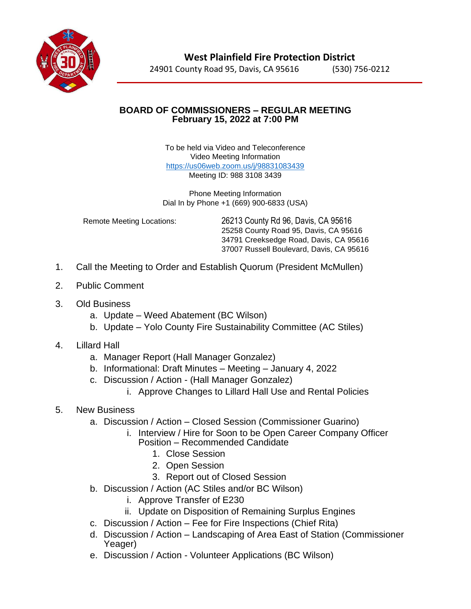

## **BOARD OF COMMISSIONERS – REGULAR MEETING February 15, 2022 at 7:00 PM**

To be held via Video and Teleconference Video Meeting Information <https://us06web.zoom.us/j/98831083439> Meeting ID: 988 3108 3439

Phone Meeting Information Dial In by Phone +1 (669) 900-6833 (USA)

Remote Meeting Locations: 26213 County Rd 96, Davis, CA 95616 25258 County Road 95, Davis, CA 95616 34791 Creeksedge Road, Davis, CA 95616 37007 Russell Boulevard, Davis, CA 95616

- 1. Call the Meeting to Order and Establish Quorum (President McMullen)
- 2. Public Comment
- 3. Old Business
	- a. Update Weed Abatement (BC Wilson)
	- b. Update Yolo County Fire Sustainability Committee (AC Stiles)
- 4. Lillard Hall
	- a. Manager Report (Hall Manager Gonzalez)
	- b. Informational: Draft Minutes Meeting January 4, 2022
	- c. Discussion / Action (Hall Manager Gonzalez)
		- i. Approve Changes to Lillard Hall Use and Rental Policies

## 5. New Business

- a. Discussion / Action Closed Session (Commissioner Guarino)
	- i. Interview / Hire for Soon to be Open Career Company Officer Position – Recommended Candidate
		- 1. Close Session
		- 2. Open Session
		- 3. Report out of Closed Session
- b. Discussion / Action (AC Stiles and/or BC Wilson)
	- i. Approve Transfer of E230
	- ii. Update on Disposition of Remaining Surplus Engines
- c. Discussion / Action Fee for Fire Inspections (Chief Rita)
- d. Discussion / Action Landscaping of Area East of Station (Commissioner Yeager)
- e. Discussion / Action Volunteer Applications (BC Wilson)